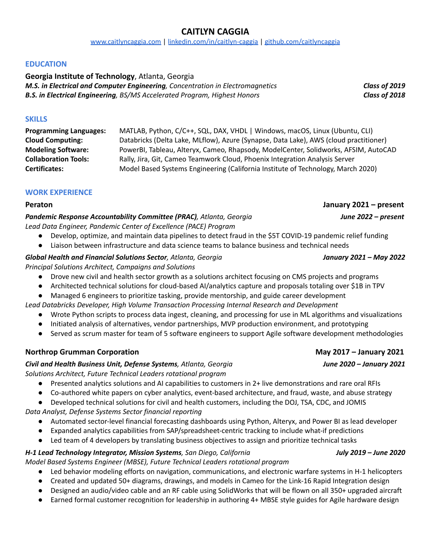## **CAITLYN CAGGIA** [www.caitlyncaggia.com](http://www.caitlyncaggia.com) | [linkedin.com/in/caitlyn-caggia](https://linkedin.com/in/caitlyn-caggia) | [github.com/caitlyncaggia](http://github.com/caitlyncaggia)

**EDUCATION**

**Georgia Institute of Technology**, Atlanta, Georgia *M.S. in Electrical and Computer Engineering, Concentration in Electromagnetics Class of 2019 B.S. in Electrical Engineering, BS/MS Accelerated Program, Highest Honors Class of 2018*

**SKILLS**

**Programming Languages:** MATLAB, Python, C/C++, SQL, DAX, VHDL | Windows, macOS, Linux (Ubuntu, CLI) **Cloud Computing:** Databricks (Delta Lake, MLflow), Azure (Synapse, Data Lake), AWS (cloud practitioner) **Modeling Software:** PowerBI, Tableau, Alteryx, Cameo, Rhapsody, ModelCenter, Solidworks, AFSIM, AutoCAD **Collaboration Tools:** Rally, Jira, Git, Cameo Teamwork Cloud, Phoenix Integration Analysis Server **Certificates:** Model Based Systems Engineering (California Institute of Technology, March 2020)

## **WORK EXPERIENCE**

### *Pandemic Response Accountability Committee (PRAC), Atlanta, Georgia June 2022 – present Lead Data Engineer, Pandemic Center of Excellence (PACE) Program*

- Develop, optimize, and maintain data pipelines to detect fraud in the \$5T COVID-19 pandemic relief funding
- Liaison between infrastructure and data science teams to balance business and technical needs

## *Global Health and Financial Solutions Sector, Atlanta, Georgia January 2021 – May 2022*

*Principal Solutions Architect, Campaigns and Solutions*

- Drove new civil and health sector growth as a solutions architect focusing on CMS projects and programs
- Architected technical solutions for cloud-based AI/analytics capture and proposals totaling over \$1B in TPV
- Managed 6 engineers to prioritize tasking, provide mentorship, and guide career development

*Lead Databricks Developer, High Volume Transaction Processing Internal Research and Development*

- Wrote Python scripts to process data ingest, cleaning, and processing for use in ML algorithms and visualizations
- Initiated analysis of alternatives, vendor partnerships, MVP production environment, and prototyping
- Served as scrum master for team of 5 software engineers to support Agile software development methodologies

## **Northrop Grumman Corporation May 2017 – January 2021**

### *Civil and Health Business Unit, Defense Systems, Atlanta, Georgia June 2020 – January 2021*

*Solutions Architect, Future Technical Leaders rotational program*

- Presented analytics solutions and AI capabilities to customers in 2+ live demonstrations and rare oral RFIs
- Co-authored white papers on cyber analytics, event-based architecture, and fraud, waste, and abuse strategy

● Developed technical solutions for civil and health customers, including the DOJ, TSA, CDC, and JOMIS

*Data Analyst, Defense Systems Sector financial reporting*

- Automated sector-level financial forecasting dashboards using Python, Alteryx, and Power BI as lead developer
- Expanded analytics capabilities from SAP/spreadsheet-centric tracking to include what-if predictions
- Led team of 4 developers by translating business objectives to assign and prioritize technical tasks

## *H-1 Lead Technology Integrator, Mission Systems, San Diego, California July 2019 – June 2020*

*Model Based Systems Engineer (MBSE), Future Technical Leaders rotational program*

- *●* Led behavior modeling efforts on navigation, communications, and electronic warfare systems in H-1 helicopters
- Created and updated 50+ diagrams, drawings, and models in Cameo for the Link-16 Rapid Integration design ● Designed an audio/video cable and an RF cable using SolidWorks that will be flown on all 350+ upgraded aircraft
- Earned formal customer recognition for leadership in authoring 4+ MBSE style guides for Agile hardware design

**Peraton January 2021 – present**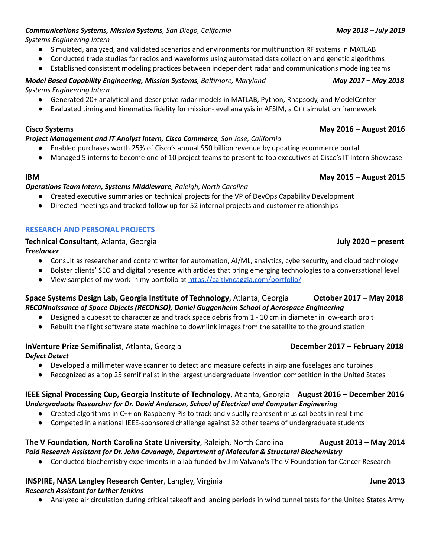## *Communications Systems, Mission Systems, San Diego, California May 2018 – July 2019*

*Systems Engineering Intern*

- Simulated, analyzed, and validated scenarios and environments for multifunction RF systems in MATLAB
- Conducted trade studies for radios and waveforms using automated data collection and genetic algorithms
- Established consistent modeling practices between independent radar and communications modeling teams

# *Model Based Capability Engineering, Mission Systems, Baltimore, Maryland May 2017 – May 2018*

*Systems Engineering Intern*

- Generated 20+ analytical and descriptive radar models in MATLAB, Python, Rhapsody, and ModelCenter
- Evaluated timing and kinematics fidelity for mission-level analysis in AFSIM, a C++ simulation framework

### **Cisco Systems May 2016 – August 2016**

### *Project Management and IT Analyst Intern, Cisco Commerce, San Jose, California*

- Enabled purchases worth 25% of Cisco's annual \$50 billion revenue by updating ecommerce portal
- Managed 5 interns to become one of 10 project teams to present to top executives at Cisco's IT Intern Showcase

## *Operations Team Intern, Systems Middleware, Raleigh, North Carolina*

- Created executive summaries on technical projects for the VP of DevOps Capability Development
- Directed meetings and tracked follow up for 52 internal projects and customer relationships

## **RESEARCH AND PERSONAL PROJECTS**

### **Technical Consultant**, Atlanta, Georgia **July 2020 – present**

*Freelancer*

- Consult as researcher and content writer for automation, AI/ML, analytics, cybersecurity, and cloud technology
- Bolster clients' SEO and digital presence with articles that bring emerging technologies to a conversational level
- View samples of my work in my portfolio at <https://caitlyncaggia.com/portfolio/>

## **Space Systems Design Lab, Georgia Institute of Technology**, Atlanta, Georgia **Collact 2017 – May 2018** *RECONnaissance of Space Objects (RECONSO), Daniel Guggenheim School of Aerospace Engineering*

- Designed a cubesat to characterize and track space debris from 1 10 cm in diameter in low-earth orbit
- Rebuilt the flight software state machine to downlink images from the satellite to the ground station

## **InVenture Prize Semifinalist**, Atlanta, Georgia **December 2017 – February 2018**

*Defect Detect*

- Developed a millimeter wave scanner to detect and measure defects in airplane fuselages and turbines
- Recognized as a top 25 semifinalist in the largest undergraduate invention competition in the United States

## **IEEE Signal Processing Cup, Georgia Institute of Technology**, Atlanta, Georgia **August 2016 – December 2016** *Undergraduate Researcher for Dr. David Anderson, School of Electrical and Computer Engineering*

- Created algorithms in C++ on Raspberry Pis to track and visually represent musical beats in real time
- Competed in a national IEEE-sponsored challenge against 32 other teams of undergraduate students

## **The V Foundation, North Carolina State University**, Raleigh, North Carolina **August 2013 – May 2014** *Paid Research Assistant for Dr. John Cavanagh, Department of Molecular & Structural Biochemistry*

● Conducted biochemistry experiments in a lab funded by Jim Valvano's The V Foundation for Cancer Research

## **INSPIRE, NASA Langley Research Center**, Langley, Virginia **June 2013**

## *Research Assistant for Luther Jenkins*

● Analyzed air circulation during critical takeoff and landing periods in wind tunnel tests for the United States Army

## **IBM May 2015 – August 2015**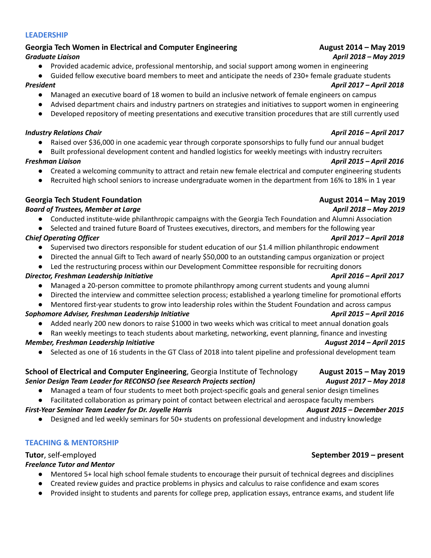## **LEADERSHIP**

## Georgia Tech Women in Electrical and Computer Engineering **August 2014 - May 2019** *Graduate Liaison April 2018 – May 2019*

● Provided academic advice, professional mentorship, and social support among women in engineering ● Guided fellow executive board members to meet and anticipate the needs of 230+ female graduate students

- Managed an executive board of 18 women to build an inclusive network of female engineers on campus
- Advised department chairs and industry partners on strategies and initiatives to support women in engineering
- Developed repository of meeting presentations and executive transition procedures that are still currently used

## *Industry Relations Chair April 2016 – April 2017*

- Raised over \$36,000 in one academic year through corporate sponsorships to fully fund our annual budget
- Built professional development content and handled logistics for weekly meetings with industry recruiters

## *Freshman Liaison April 2015 – April 2016*

- Created a welcoming community to attract and retain new female electrical and computer engineering students
- Recruited high school seniors to increase undergraduate women in the department from 16% to 18% in 1 year

# **Georgia Tech Student Foundation August 2014 – May 2019**

# *Board of Trustees, Member at Large April 2018 – May 2019*

- Conducted institute-wide philanthropic campaigns with the Georgia Tech Foundation and Alumni Association
- Selected and trained future Board of Trustees executives, directors, and members for the following year

- Supervised two directors responsible for student education of our \$1.4 million philanthropic endowment
- Directed the annual Gift to Tech award of nearly \$50,000 to an outstanding campus organization or project
- Led the restructuring process within our Development Committee responsible for recruiting donors

# *Director, Freshman Leadership Initiative April 2016 – April 2017*

- Managed a 20-person committee to promote philanthropy among current students and young alumni
- Directed the interview and committee selection process; established a yearlong timeline for promotional efforts
- Mentored first-year students to grow into leadership roles within the Student Foundation and across campus

# *Sophomore Adviser, Freshman Leadership Initiative April 2015 – April 2016*

- Added nearly 200 new donors to raise \$1000 in two weeks which was critical to meet annual donation goals
- Ran weekly meetings to teach students about marketing, networking, event planning, finance and investing

# *Member, Freshman Leadership Initiative August 2014 – April 2015*

● Selected as one of 16 students in the GT Class of 2018 into talent pipeline and professional development team

## **School of Electrical and Computer Engineering**, Georgia Institute of Technology **August 2015 – May 2019** *Senior Design Team Leader for RECONSO (see Research Projects section) August 2017 – May 2018*

- Managed a team of four students to meet both project-specific goals and general senior design timelines
- Facilitated collaboration as primary point of contact between electrical and aerospace faculty members

# *First-Year Seminar Team Leader for Dr. Joyelle Harris August 2015 – December 2015*

Designed and led weekly seminars for 50+ students on professional development and industry knowledge

# **TEACHING & MENTORSHIP**

# **Tutor**, self-employed **September 2019 – present**

# *Freelance Tutor and Mentor*

- Mentored 5+ local high school female students to encourage their pursuit of technical degrees and disciplines
- Created review guides and practice problems in physics and calculus to raise confidence and exam scores
- Provided insight to students and parents for college prep, application essays, entrance exams, and student life

## *Chief Operating Officer April 2017 – April 2018*

# *President April 2017 – April 2018*